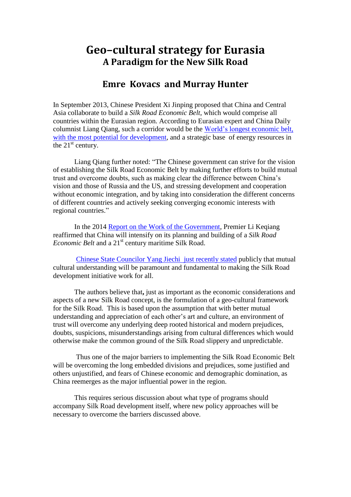## **Geo–cultural strategy for Eurasia A Paradigm for the New Silk Road**

## **Emre Kovacs and Murray Hunter**

In September 2013, Chinese President Xi Jinping proposed that China and Central Asia collaborate to build a *Silk Road Economic Belt*, which would comprise all countries within the Eurasian region. According to Eurasian expert and China Daily columnist Liang Qiang, such a corridor would be the [World's longest economic belt,](http://usa.chinadaily.com.cn/epaper/2014-06/19/content_17601023.htm)  [with the most potential for development,](http://usa.chinadaily.com.cn/epaper/2014-06/19/content_17601023.htm) and a strategic base of energy resources in the  $21<sup>st</sup>$  century.

Liang Qiang further noted: "The Chinese government can strive for the vision of establishing the Silk Road Economic Belt by making further efforts to build mutual trust and overcome doubts, such as making clear the difference between China's vision and those of Russia and the US, and stressing development and cooperation without economic integration, and by taking into consideration the different concerns of different countries and actively seeking converging economic interests with regional countries."

In the 2014 [Report on the Work of the Government,](http://online.wsj.com/public/resources/documents/2014GovtWorkReport_Eng.pdf) Premier Li Keqiang reaffirmed that China will intensify on its planning and building of a *Silk Road Economic Belt* and a 21<sup>st</sup> century maritime Silk Road.

 [Chinese State Councilor Yang Jiechi just recently stated](http://news.xinhuanet.com/english/china/2014-06/21/c_133426104.htm) publicly that mutual cultural understanding will be paramount and fundamental to making the Silk Road development initiative work for all.

 The authors believe that**,** just as important as the economic considerations and aspects of a new Silk Road concept, is the formulation of a geo-cultural framework for the Silk Road. This is based upon the assumption that with better mutual understanding and appreciation of each other's art and culture, an environment of trust will overcome any underlying deep rooted historical and modern prejudices, doubts, suspicions, misunderstandings arising from cultural differences which would otherwise make the common ground of the Silk Road slippery and unpredictable.

 Thus one of the major barriers to implementing the Silk Road Economic Belt will be overcoming the long embedded divisions and prejudices, some justified and others unjustified, and fears of Chinese economic and demographic domination, as China reemerges as the major influential power in the region.

 This requires serious discussion about what type of programs should accompany Silk Road development itself, where new policy approaches will be necessary to overcome the barriers discussed above.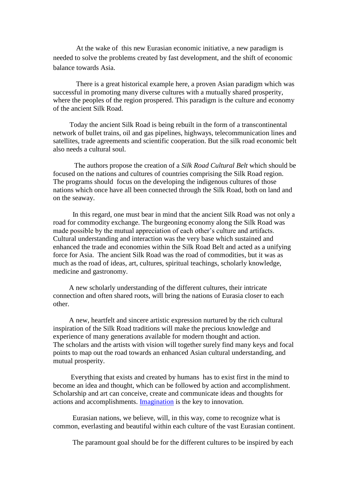At the wake of this new Eurasian economic initiative, a new paradigm is needed to solve the problems created by fast development, and the shift of economic balance towards Asia.

 There is a great historical example here, a proven Asian paradigm which was successful in promoting many diverse cultures with a mutually shared prosperity, where the peoples of the region prospered. This paradigm is the culture and economy of the ancient Silk Road.

Today the ancient Silk Road is being rebuilt in the form of a transcontinental network of bullet trains, oil and gas pipelines, highways, telecommunication lines and satellites, trade agreements and scientific cooperation. But the silk road economic belt also needs a cultural soul.

 The authors propose the creation of a *Silk Road Cultural Belt* which should be focused on the nations and cultures of countries comprising the Silk Road region. The programs should focus on the developing the indigenous cultures of those nations which once have all been connected through the Silk Road, both on land and on the seaway.

 In this regard, one must bear in mind that the ancient Silk Road was not only a road for commodity exchange. The burgeoning economy along the Silk Road was made possible by the mutual appreciation of each other's culture and artifacts. Cultural understanding and interaction was the very base which sustained and enhanced the trade and economies within the Silk Road Belt and acted as a unifying force for Asia. The ancient Silk Road was the road of commodities, but it was as much as the road of ideas, art, cultures, spiritual teachings, scholarly knowledge, medicine and gastronomy.

 A new scholarly understanding of the different cultures, their intricate connection and often shared roots, will bring the nations of Eurasia closer to each other.

 A new, heartfelt and sincere artistic expression nurtured by the rich cultural inspiration of the Silk Road traditions will make the precious knowledge and experience of many generations available for modern thought and action. The scholars and the artists with vision will together surely find many keys and focal points to map out the road towards an enhanced Asian cultural understanding, and mutual prosperity.

 Everything that exists and created by humans has to exist first in the mind to become an idea and thought, which can be followed by action and accomplishment. Scholarship and art can conceive, create and communicate ideas and thoughts for actions and accomplishments. [Imagination](http://www.edudemic.com/8-types-of-imagination/) is the key to innovation.

 Eurasian nations, we believe, will, in this way, come to recognize what is common, everlasting and beautiful within each culture of the vast Eurasian continent.

The paramount goal should be for the different cultures to be inspired by each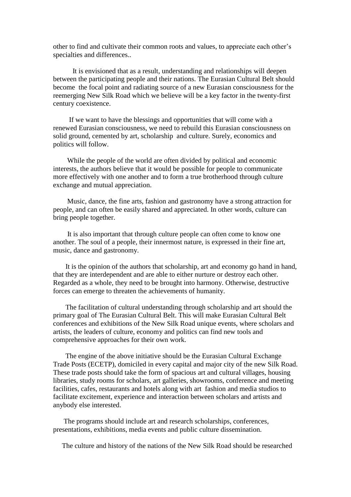other to find and cultivate their common roots and values, to appreciate each other's specialties and differences..

 It is envisioned that as a result, understanding and relationships will deepen between the participating people and their nations. The Eurasian Cultural Belt should become the focal point and radiating source of a new Eurasian consciousness for the reemerging New Silk Road which we believe will be a key factor in the twenty-first century coexistence.

 If we want to have the blessings and opportunities that will come with a renewed Eurasian consciousness, we need to rebuild this Eurasian consciousness on solid ground, cemented by art, scholarship and culture. Surely, economics and politics will follow.

 While the people of the world are often divided by political and economic interests, the authors believe that it would be possible for people to communicate more effectively with one another and to form a true brotherhood through culture exchange and mutual appreciation.

 Music, dance, the fine arts, fashion and gastronomy have a strong attraction for people, and can often be easily shared and appreciated. In other words, culture can bring people together.

 It is also important that through culture people can often come to know one another. The soul of a people, their innermost nature, is expressed in their fine art, music, dance and gastronomy.

 It is the opinion of the authors that scholarship, art and economy go hand in hand, that they are interdependent and are able to either nurture or destroy each other. Regarded as a whole, they need to be brought into harmony. Otherwise, destructive forces can emerge to threaten the achievements of humanity.

 The facilitation of cultural understanding through scholarship and art should the primary goal of The Eurasian Cultural Belt. This will make Eurasian Cultural Belt conferences and exhibitions of the New Silk Road unique events, where scholars and artists, the leaders of culture, economy and politics can find new tools and comprehensive approaches for their own work.

 The engine of the above initiative should be the Eurasian Cultural Exchange Trade Posts (ECETP), domiciled in every capital and major city of the new Silk Road. These trade posts should take the form of spacious art and cultural villages, housing libraries, study rooms for scholars, art galleries, showrooms, conference and meeting facilities, cafes, restaurants and hotels along with art fashion and media studios to facilitate excitement, experience and interaction between scholars and artists and anybody else interested.

 The programs should include art and research scholarships, conferences, presentations, exhibitions, media events and public culture dissemination.

The culture and history of the nations of the New Silk Road should be researched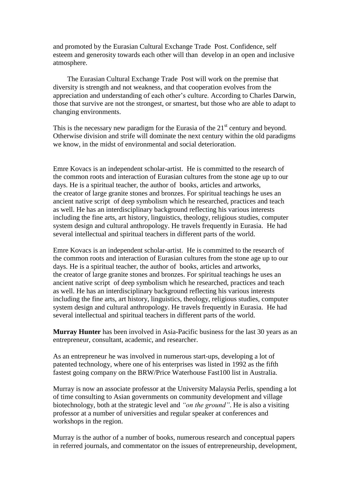and promoted by the Eurasian Cultural Exchange Trade Post. Confidence, self esteem and generosity towards each other will than develop in an open and inclusive atmosphere.

 The Eurasian Cultural Exchange Trade Post will work on the premise that diversity is strength and not weakness, and that cooperation evolves from the appreciation and understanding of each other's culture. According to Charles Darwin, those that survive are not the strongest, or smartest, but those who are able to adapt to changing environments.

This is the necessary new paradigm for the Eurasia of the  $21<sup>st</sup>$  century and beyond. Otherwise division and strife will dominate the next century within the old paradigms we know, in the midst of environmental and social deterioration.

Emre Kovacs is an independent scholar-artist. He is committed to the research of the common roots and interaction of Eurasian cultures from the stone age up to our days. He is a spiritual teacher, the author of books, articles and artworks, the creator of large granite stones and bronzes. For spiritual teachings he uses an ancient native script of deep symbolism which he researched, practices and teach as well. He has an interdisciplinary background reflecting his various interests including the fine arts, art history, linguistics, theology, religious studies, computer system design and cultural anthropology. He travels frequently in Eurasia. He had several intellectual and spiritual teachers in different parts of the world.

Emre Kovacs is an independent scholar-artist. He is committed to the research of the common roots and interaction of Eurasian cultures from the stone age up to our days. He is a spiritual teacher, the author of books, articles and artworks, the creator of large granite stones and bronzes. For spiritual teachings he uses an ancient native script of deep symbolism which he researched, practices and teach as well. He has an interdisciplinary background reflecting his various interests including the fine arts, art history, linguistics, theology, religious studies, computer system design and cultural anthropology. He travels frequently in Eurasia. He had several intellectual and spiritual teachers in different parts of the world.

**Murray Hunter** has been involved in Asia-Pacific business for the last 30 years as an entrepreneur, consultant, academic, and researcher.

As an entrepreneur he was involved in numerous start-ups, developing a lot of patented technology, where one of his enterprises was listed in 1992 as the fifth fastest going company on the BRW/Price Waterhouse Fast100 list in Australia.

Murray is now an associate professor at the [University Malaysia Perlis,](http://en.wikipedia.org/wiki/Universiti_Malaysia_Perlis) spending a lot of time consulting to Asian governments on community development and village biotechnology, both at the strategic level and *"on the ground"*. He is also a visiting professor at a number of universities and regular speaker at conferences and workshops in the region.

Murray is the author of a number of books, numerous research and conceptual papers in referred journals, and commentator on the issues of entrepreneurship, development,